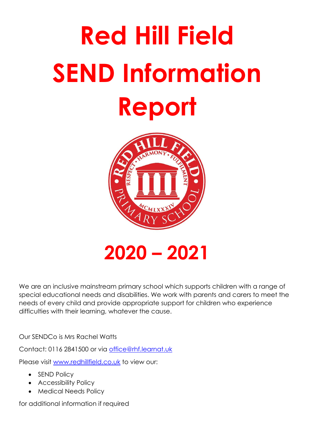# **Red Hill Field SEND Information Report**



**2020 – 2021**

We are an inclusive mainstream primary school which supports children with a range of special educational needs and disabilities. We work with parents and carers to meet the needs of every child and provide appropriate support for children who experience difficulties with their learning, whatever the cause.

Our SENDCo is Mrs Rachel Watts

Contact: 0116 2841500 or via [office@rhf.learnat.uk](mailto:office@rhf.learnat.uk)

Please visit [www.redhillfield.co.uk](http://www.redhillfield.co.uk/) to view our:

- SEND Policy
- Accessibility Policy
- Medical Needs Policy

for additional information if required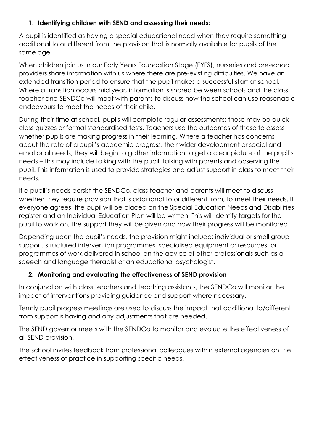## **1. Identifying children with SEND and assessing their needs:**

A pupil is identified as having a special educational need when they require something additional to or different from the provision that is normally available for pupils of the same age.

When children join us in our Early Years Foundation Stage (EYFS), nurseries and pre-school providers share information with us where there are pre-existing difficulties. We have an extended transition period to ensure that the pupil makes a successful start at school. Where a transition occurs mid year, information is shared between schools and the class teacher and SENDCo will meet with parents to discuss how the school can use reasonable endeavours to meet the needs of their child.

During their time at school, pupils will complete regular assessments; these may be quick class quizzes or formal standardised tests. Teachers use the outcomes of these to assess whether pupils are making progress in their learning. Where a teacher has concerns about the rate of a pupil's academic progress, their wider development or social and emotional needs, they will begin to gather information to get a clear picture of the pupil's needs – this may include talking with the pupil, talking with parents and observing the pupil. This information is used to provide strategies and adjust support in class to meet their needs.

If a pupil's needs persist the SENDCo, class teacher and parents will meet to discuss whether they require provision that is additional to or different from, to meet their needs. If everyone agrees, the pupil will be placed on the Special Education Needs and Disabilities register and an Individual Education Plan will be written. This will identify targets for the pupil to work on, the support they will be given and how their progress will be monitored.

Depending upon the pupil's needs, the provision might include: individual or small group support, structured intervention programmes, specialised equipment or resources, or programmes of work delivered in school on the advice of other professionals such as a speech and language therapist or an educational psychologist.

## **2. Monitoring and evaluating the effectiveness of SEND provision**

In conjunction with class teachers and teaching assistants, the SENDCo will monitor the impact of interventions providing guidance and support where necessary.

Termly pupil progress meetings are used to discuss the impact that additional to/different from support is having and any adjustments that are needed.

The SEND governor meets with the SENDCo to monitor and evaluate the effectiveness of all SEND provision.

The school invites feedback from professional colleagues within external agencies on the effectiveness of practice in supporting specific needs.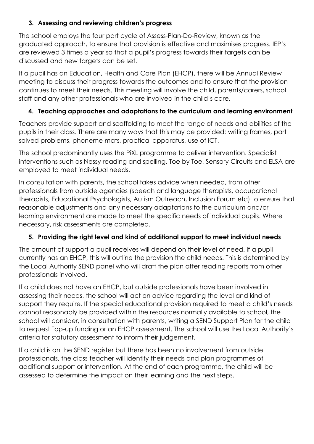## **3. Assessing and reviewing children's progress**

The school employs the four part cycle of Assess-Plan-Do-Review, known as the graduated approach, to ensure that provision is effective and maximises progress. IEP's are reviewed 3 times a year so that a pupil's progress towards their targets can be discussed and new targets can be set.

If a pupil has an Education, Health and Care Plan (EHCP), there will be Annual Review meeting to discuss their progress towards the outcomes and to ensure that the provision continues to meet their needs. This meeting will involve the child, parents/carers, school staff and any other professionals who are involved in the child's care.

# **4. Teaching approaches and adaptations to the curriculum and learning environment**

Teachers provide support and scaffolding to meet the range of needs and abilities of the pupils in their class. There are many ways that this may be provided: writing frames, part solved problems, phoneme mats, practical apparatus, use of ICT.

The school predominantly uses the PiXL programme to deliver intervention. Specialist interventions such as Nessy reading and spelling, Toe by Toe, Sensory Circuits and ELSA are employed to meet individual needs.

In consultation with parents, the school takes advice when needed, from other professionals from outside agencies (speech and language therapists, occupational therapists, Educational Psychologists, Autism Outreach, Inclusion Forum etc) to ensure that reasonable adjustments and any necessary adaptations to the curriculum and/or learning environment are made to meet the specific needs of individual pupils. Where necessary, risk assessments are completed.

# **5. Providing the right level and kind of additional support to meet individual needs**

The amount of support a pupil receives will depend on their level of need. If a pupil currently has an EHCP, this will outline the provision the child needs. This is determined by the Local Authority SEND panel who will draft the plan after reading reports from other professionals involved.

If a child does not have an EHCP, but outside professionals have been involved in assessing their needs, the school will act on advice regarding the level and kind of support they require. If the special educational provision required to meet a child's needs cannot reasonably be provided within the resources normally available to school, the school will consider, in consultation with parents, writing a SEND Support Plan for the child to request Top-up funding or an EHCP assessment. The school will use the Local Authority's criteria for statutory assessment to inform their judgement.

If a child is on the SEND register but there has been no involvement from outside professionals, the class teacher will identify their needs and plan programmes of additional support or intervention. At the end of each programme, the child will be assessed to determine the impact on their learning and the next steps.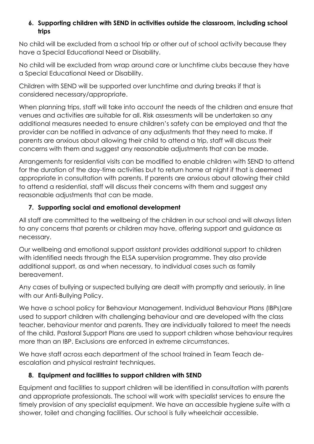#### **6. Supporting children with SEND in activities outside the classroom, including school trips**

No child will be excluded from a school trip or other out of school activity because they have a Special Educational Need or Disability.

No child will be excluded from wrap around care or lunchtime clubs because they have a Special Educational Need or Disability.

Children with SEND will be supported over lunchtime and during breaks if that is considered necessary/appropriate.

When planning trips, staff will take into account the needs of the children and ensure that venues and activities are suitable for all. Risk assessments will be undertaken so any additional measures needed to ensure children's safety can be employed and that the provider can be notified in advance of any adjustments that they need to make. If parents are anxious about allowing their child to attend a trip, staff will discuss their concerns with them and suggest any reasonable adjustments that can be made.

Arrangements for residential visits can be modified to enable children with SEND to attend for the duration of the day-time activities but to return home at night if that is deemed appropriate in consultation with parents. If parents are anxious about allowing their child to attend a residential, staff will discuss their concerns with them and suggest any reasonable adjustments that can be made.

## **7. Supporting social and emotional development**

All staff are committed to the wellbeing of the children in our school and will always listen to any concerns that parents or children may have, offering support and guidance as necessary.

Our wellbeing and emotional support assistant provides additional support to children with identified needs through the ELSA supervision programme. They also provide additional support, as and when necessary, to individual cases such as family bereavement.

Any cases of bullying or suspected bullying are dealt with promptly and seriously, in line with our Anti-Bullying Policy.

We have a school policy for Behaviour Management. Individual Behaviour Plans (IBPs)are used to support children with challenging behaviour and are developed with the class teacher, behaviour mentor and parents. They are individually tailored to meet the needs of the child. Pastoral Support Plans are used to support children whose behaviour requires more than an IBP. Exclusions are enforced in extreme circumstances.

We have staff across each department of the school trained in Team Teach deescalation and physical restraint techniques.

## **8. Equipment and facilities to support children with SEND**

Equipment and facilities to support children will be identified in consultation with parents and appropriate professionals. The school will work with specialist services to ensure the timely provision of any specialist equipment. We have an accessible hygiene suite with a shower, toilet and changing facilities. Our school is fully wheelchair accessible.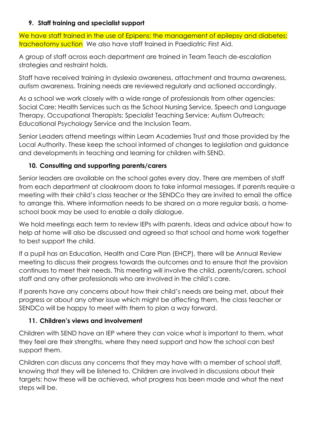#### **9. Staff training and specialist support**

We have staff trained in the use of Epipens; the management of epilepsy and diabetes; tracheotomy suction We also have staff trained in Paediatric First Aid.

A group of staff across each department are trained in Team Teach de-escalation strategies and restraint holds.

Staff have received training in dyslexia awareness, attachment and trauma awareness, autism awareness. Training needs are reviewed regularly and actioned accordingly.

As a school we work closely with a wide range of professionals from other agencies: Social Care; Health Services such as the School Nursing Service, Speech and Language Therapy, Occupational Therapists; Specialist Teaching Service; Autism Outreach; Educational Psychology Service and the Inclusion Team.

Senior Leaders attend meetings within Learn Academies Trust and those provided by the Local Authority. These keep the school informed of changes to legislation and guidance and developments in teaching and learning for children with SEND.

## **10. Consulting and supporting parents/carers**

Senior leaders are available on the school gates every day. There are members of staff from each department at cloakroom doors to take informal messages. If parents require a meeting with their child's class teacher or the SENDCo they are invited to email the office to arrange this. Where information needs to be shared on a more regular basis, a homeschool book may be used to enable a daily dialogue.

We hold meetings each term to review IEPs with parents. Ideas and advice about how to help at home will also be discussed and agreed so that school and home work together to best support the child.

If a pupil has an Education, Health and Care Plan (EHCP), there will be Annual Review meeting to discuss their progress towards the outcomes and to ensure that the provision continues to meet their needs. This meeting will involve the child, parents/carers, school staff and any other professionals who are involved in the child's care.

If parents have any concerns about how their child's needs are being met, about their progress or about any other issue which might be affecting them, the class teacher or SENDCo will be happy to meet with them to plan a way forward.

#### **11. Children's views and involvement**

Children with SEND have an IEP where they can voice what is important to them, what they feel are their strengths, where they need support and how the school can best support them.

Children can discuss any concerns that they may have with a member of school staff, knowing that they will be listened to. Children are involved in discussions about their targets: how these will be achieved, what progress has been made and what the next steps will be.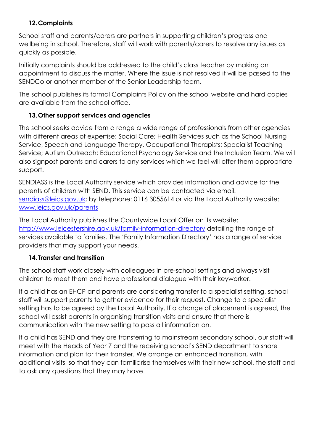## **12.Complaints**

School staff and parents/carers are partners in supporting children's progress and wellbeing in school. Therefore, staff will work with parents/carers to resolve any issues as quickly as possible.

Initially complaints should be addressed to the child's class teacher by making an appointment to discuss the matter. Where the issue is not resolved it will be passed to the SENDCo or another member of the Senior Leadership team.

The school publishes its formal Complaints Policy on the school website and hard copies are available from the school office.

## **13.Other support services and agencies**

The school seeks advice from a range a wide range of professionals from other agencies with different areas of expertise: Social Care; Health Services such as the School Nursing Service, Speech and Language Therapy, Occupational Therapists; Specialist Teaching Service; Autism Outreach; Educational Psychology Service and the Inclusion Team. We will also signpost parents and carers to any services which we feel will offer them appropriate support.

SENDIASS is the Local Authority service which provides information and advice for the parents of children with SEND. This service can be contacted via email: [sendiass@leics.gov.uk;](mailto:sendiass@leics.gov.uk) by telephone: 0116 3055614 or via the Local Authority website: [www.leics.gov.uk/parents](http://www.leics.gov.uk/parents)

The Local Authority publishes the Countywide Local Offer on its website: <http://www.leicestershire.gov.uk/family-information-directory> detailing the range of services available to families. The 'Family Information Directory' has a range of service providers that may support your needs.

#### **14.Transfer and transition**

The school staff work closely with colleagues in pre-school settings and always visit children to meet them and have professional dialogue with their keyworker.

If a child has an EHCP and parents are considering transfer to a specialist setting, school staff will support parents to gather evidence for their request. Change to a specialist setting has to be agreed by the Local Authority. If a change of placement is agreed, the school will assist parents in organising transition visits and ensure that there is communication with the new setting to pass all information on.

If a child has SEND and they are transferring to mainstream secondary school, our staff will meet with the Heads of Year 7 and the receiving school's SEND department to share information and plan for their transfer. We arrange an enhanced transition, with additional visits, so that they can familiarise themselves with their new school, the staff and to ask any questions that they may have.